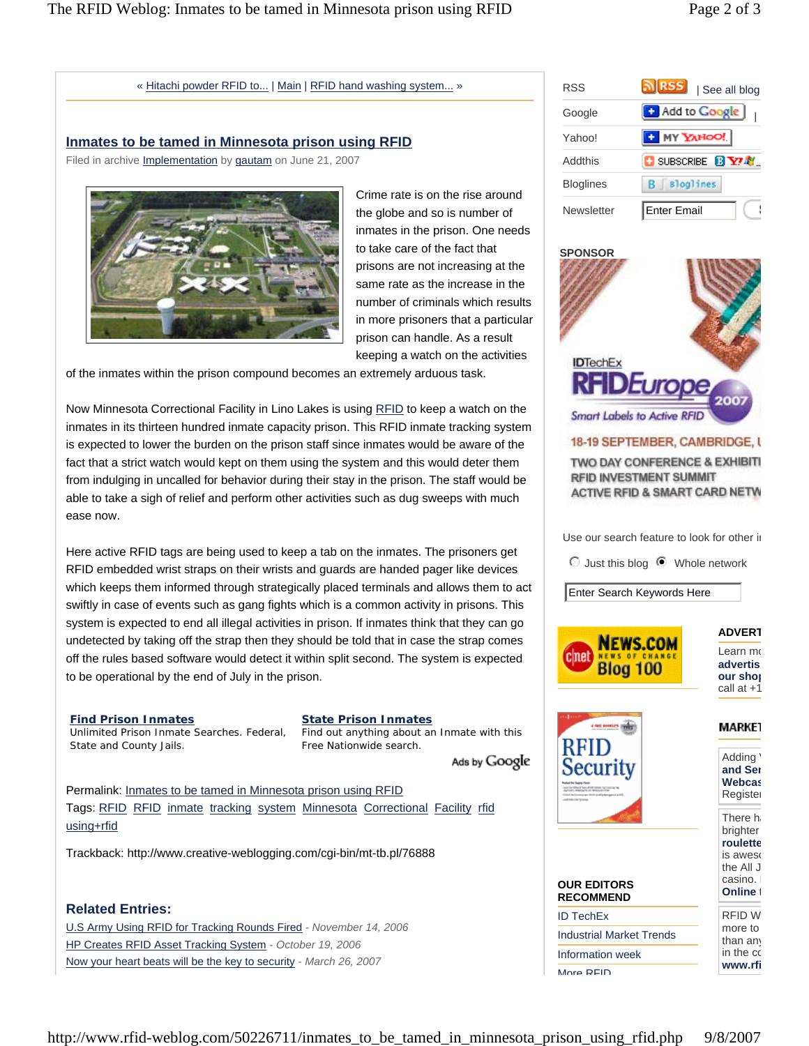### « Hitachi powder RFID to... | Main | RFID hand washing system... »

## **Inmates to be tamed in Minnesota prison using RFID**

Filed in archive *Implementation* by *gautam* on June 21, 2007



Crime rate is on the rise around the globe and so is number of inmates in the prison. One needs to take care of the fact that prisons are not increasing at the same rate as the increase in the number of criminals which results in more prisoners that a particular prison can handle. As a result keeping a watch on the activities

of the inmates within the prison compound becomes an extremely arduous task.

Now Minnesota Correctional Facility in Lino Lakes is using RFID to keep a watch on the inmates in its thirteen hundred inmate capacity prison. This RFID inmate tracking system is expected to lower the burden on the prison staff since inmates would be aware of the fact that a strict watch would kept on them using the system and this would deter them from indulging in uncalled for behavior during their stay in the prison. The staff would be able to take a sigh of relief and perform other activities such as dug sweeps with much ease now.

Here active RFID tags are being used to keep a tab on the inmates. The prisoners get RFID embedded wrist straps on their wrists and guards are handed pager like devices which keeps them informed through strategically placed terminals and allows them to act swiftly in case of events such as gang fights which is a common activity in prisons. This system is expected to end all illegal activities in prison. If inmates think that they can go undetected by taking off the strap then they should be told that in case the strap comes off the rules based software would detect it within split second. The system is expected to be operational by the end of July in the prison.

**Find Prison Inmates** Unlimited Prison Inmate Searches. Federal, State and County Jails.

**State Prison Inmates** Find out anything about an Inmate with this Free Nationwide search.

Ads by Google

Permalink: Inmates to be tamed in Minnesota prison using RFID Tags: RFID RFID inmate tracking system Minnesota Correctional Facility rfid using+rfid

Trackback: http://www.creative-weblogging.com/cgi-bin/mt-tb.pl/76888

# **Related Entries:**

| RSS              | <u> ম[RSS]</u><br>See all blog |
|------------------|--------------------------------|
| Google           | [7] Add to Google              |
| Yahoo!           | <b>C</b> MY YAHOO!             |
| Addthis          | <b>C</b> SUBSCRIBE <b>BY</b>   |
| <b>Bloglines</b> | Bloglines                      |
| Newsletter       | Enter Email                    |



# 18-19 SEPTEMBER, CAMBRIDGE, I

TWO DAY CONFERENCE & EXHIBITI **RFID INVESTMENT SUMMIT** ACTIVE RFID & SMART CARD NETW

Use our search feature to look for other in

 $\odot$  Just this blog  $\odot$  Whole network

Enter Search Keywords Here





MARKE1 Adding ' **and Sen Webcas**

Register There ha brighter **roulette** is aweso

> the All J casino. I **Online**<sup>t</sup>

**OUR EDITORS RECOMMEND**